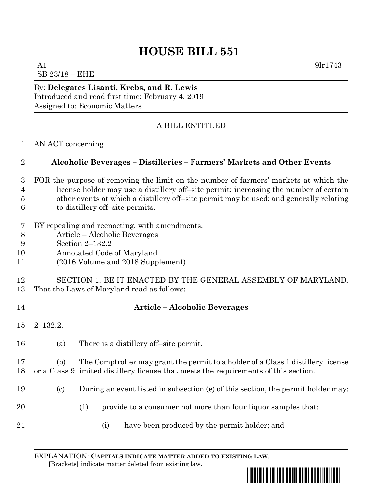# **HOUSE BILL 551**

A1  $9 \text{lr}1743$ SB 23/18 – EHE

By: **Delegates Lisanti, Krebs, and R. Lewis** Introduced and read first time: February 4, 2019 Assigned to: Economic Matters

## A BILL ENTITLED

AN ACT concerning

### **Alcoholic Beverages – Distilleries – Farmers' Markets and Other Events**

- FOR the purpose of removing the limit on the number of farmers' markets at which the license holder may use a distillery off–site permit; increasing the number of certain other events at which a distillery off–site permit may be used; and generally relating to distillery off–site permits.
- BY repealing and reenacting, with amendments,
- Article Alcoholic Beverages
- Section 2–132.2
- Annotated Code of Maryland
- (2016 Volume and 2018 Supplement)

#### SECTION 1. BE IT ENACTED BY THE GENERAL ASSEMBLY OF MARYLAND, That the Laws of Maryland read as follows:

## **Article – Alcoholic Beverages**

- 2–132.2.
- (a) There is a distillery off–site permit.

 (b) The Comptroller may grant the permit to a holder of a Class 1 distillery license or a Class 9 limited distillery license that meets the requirements of this section.

- (c) During an event listed in subsection (e) of this section, the permit holder may:
- 20 (1) provide to a consumer not more than four liquor samples that:
- 
- (i) have been produced by the permit holder; and

EXPLANATION: **CAPITALS INDICATE MATTER ADDED TO EXISTING LAW**.  **[**Brackets**]** indicate matter deleted from existing law.

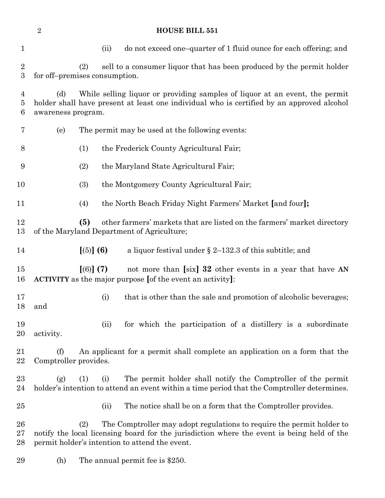| $\mathbf{1}$                       |                                                                                                                                                                                                                              |                                                                                                                                                                                                | (ii) | do not exceed one-quarter of 1 fluid ounce for each offering; and                                                                                           |  |
|------------------------------------|------------------------------------------------------------------------------------------------------------------------------------------------------------------------------------------------------------------------------|------------------------------------------------------------------------------------------------------------------------------------------------------------------------------------------------|------|-------------------------------------------------------------------------------------------------------------------------------------------------------------|--|
| $\overline{2}$<br>$\boldsymbol{3}$ | for off-premises consumption.                                                                                                                                                                                                | (2)                                                                                                                                                                                            |      | sell to a consumer liquor that has been produced by the permit holder                                                                                       |  |
| $\overline{4}$<br>5<br>6           | (d)                                                                                                                                                                                                                          | While selling liquor or providing samples of liquor at an event, the permit<br>holder shall have present at least one individual who is certified by an approved alcohol<br>awareness program. |      |                                                                                                                                                             |  |
| 7                                  | (e)                                                                                                                                                                                                                          | The permit may be used at the following events:                                                                                                                                                |      |                                                                                                                                                             |  |
| 8                                  |                                                                                                                                                                                                                              | (1)                                                                                                                                                                                            |      | the Frederick County Agricultural Fair;                                                                                                                     |  |
| 9                                  |                                                                                                                                                                                                                              | (2)                                                                                                                                                                                            |      | the Maryland State Agricultural Fair;                                                                                                                       |  |
| 10                                 |                                                                                                                                                                                                                              | (3)                                                                                                                                                                                            |      | the Montgomery County Agricultural Fair;                                                                                                                    |  |
| 11                                 |                                                                                                                                                                                                                              | (4)                                                                                                                                                                                            |      | the North Beach Friday Night Farmers' Market [and four];                                                                                                    |  |
| 12<br>13                           | (5)<br>other farmers' markets that are listed on the farmers' market directory<br>of the Maryland Department of Agriculture;                                                                                                 |                                                                                                                                                                                                |      |                                                                                                                                                             |  |
| 14                                 |                                                                                                                                                                                                                              | $[(5)]$ (6)                                                                                                                                                                                    |      | a liquor festival under $\S 2$ –132.3 of this subtitle; and                                                                                                 |  |
| 15<br>16                           |                                                                                                                                                                                                                              | $(6)$ (7)                                                                                                                                                                                      |      | not more than [six] 32 other events in a year that have AN<br><b>ACTIVITY</b> as the major purpose [of the event an activity]:                              |  |
| 17<br>18                           | and                                                                                                                                                                                                                          | (i)                                                                                                                                                                                            |      | that is other than the sale and promotion of alcoholic beverages;                                                                                           |  |
| 19<br>20                           | activity.                                                                                                                                                                                                                    | (ii)                                                                                                                                                                                           |      | for which the participation of a distillery is a subordinate                                                                                                |  |
| 21<br>22                           | (f)<br>Comptroller provides.                                                                                                                                                                                                 |                                                                                                                                                                                                |      | An applicant for a permit shall complete an application on a form that the                                                                                  |  |
| 23<br>24                           | (g)                                                                                                                                                                                                                          | (1)<br>(i)                                                                                                                                                                                     |      | The permit holder shall notify the Comptroller of the permit<br>holder's intention to attend an event within a time period that the Comptroller determines. |  |
| 25                                 |                                                                                                                                                                                                                              |                                                                                                                                                                                                | (ii) | The notice shall be on a form that the Comptroller provides.                                                                                                |  |
| 26<br>27<br>28                     | The Comptroller may adopt regulations to require the permit holder to<br>(2)<br>notify the local licensing board for the jurisdiction where the event is being held of the<br>permit holder's intention to attend the event. |                                                                                                                                                                                                |      |                                                                                                                                                             |  |
| 29                                 | (h)                                                                                                                                                                                                                          | The annual permit fee is \$250.                                                                                                                                                                |      |                                                                                                                                                             |  |

**HOUSE BILL 551**